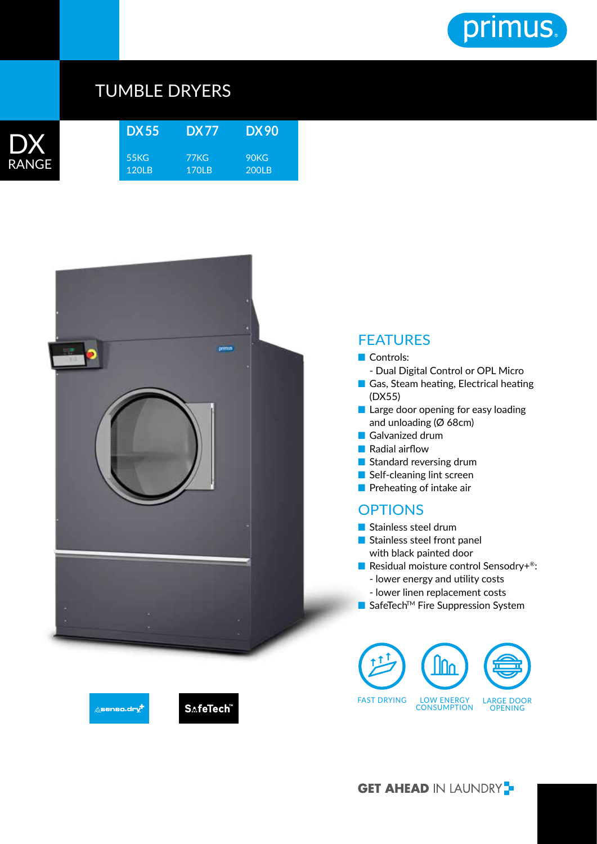

## TUMBLE DRYERS



| DX 55            | <b>DX77</b>          | DX 90         |  |
|------------------|----------------------|---------------|--|
| 55KG<br>$120I$ B | 77KG<br><b>170LB</b> | 90KG<br>200LB |  |



## FEATURES

- Controls:
- Dual Digital Control or OPL Micro
- Gas, Steam heating, Electrical heating (DX55)
- Large door opening for easy loading and unloading (Ø 68cm)
- Galvanized drum
- Radial airflow
- Standard reversing drum
- Self-cleaning lint screen
- Preheating of intake air

## **OPTIONS**

- Stainless steel drum
- Stainless steel front panel with black painted door
- Residual moisture control Sensodry+<sup>®</sup>:
	- lower energy and utility costs
	- lower linen replacement costs
- SafeTech<sup>™</sup> Fire Suppression System







**GET AHEAD IN LAUNDRY**